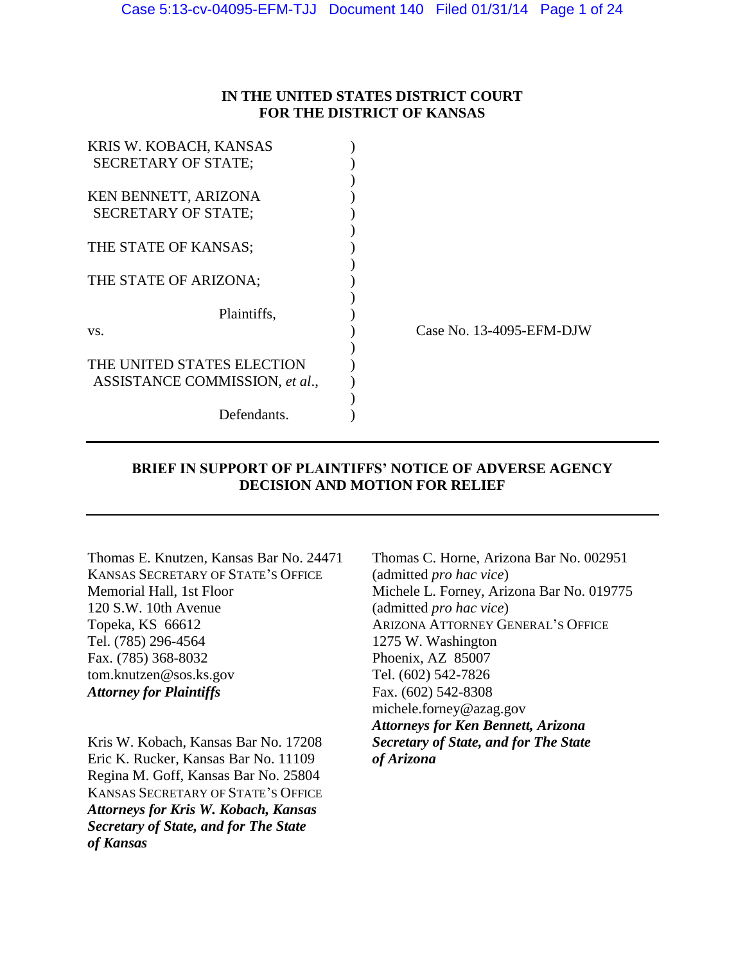## **IN THE UNITED STATES DISTRICT COURT FOR THE DISTRICT OF KANSAS**

| KRIS W. KOBACH, KANSAS         |                          |  |
|--------------------------------|--------------------------|--|
| <b>SECRETARY OF STATE:</b>     |                          |  |
|                                |                          |  |
| KEN BENNETT, ARIZONA           |                          |  |
| <b>SECRETARY OF STATE:</b>     |                          |  |
|                                |                          |  |
| THE STATE OF KANSAS;           |                          |  |
|                                |                          |  |
| THE STATE OF ARIZONA;          |                          |  |
|                                |                          |  |
| Plaintiffs,                    |                          |  |
| VS.                            | Case No. 13-4095-EFM-DJW |  |
|                                |                          |  |
| THE UNITED STATES ELECTION     |                          |  |
| ASSISTANCE COMMISSION, et al., |                          |  |
|                                |                          |  |
| Defendants.                    |                          |  |
|                                |                          |  |

# **BRIEF IN SUPPORT OF PLAINTIFFS' NOTICE OF ADVERSE AGENCY DECISION AND MOTION FOR RELIEF**

KANSAS SECRETARY OF STATE'S OFFICE (admitted *pro hac vice*) 120 S.W. 10th Avenue (admitted *pro hac vice*) Topeka, KS 66612 ARIZONA ATTORNEY GENERAL'S OFFICE Tel. (785) 296-4564 1275 W. Washington Fax. (785) 368-8032 Phoenix, AZ 85007 tom.knutzen@sos.ks.gov Tel. (602) 542-7826 Attorney for Plaintiffs Fax. (602) 542-8308

Kris W. Kobach, Kansas Bar No. 17208 *Secretary of State, and for The State* Eric K. Rucker, Kansas Bar No. 11109 *of Arizona* Regina M. Goff, Kansas Bar No. 25804 KANSAS SECRETARY OF STATE'S OFFICE *Attorneys for Kris W. Kobach, Kansas Secretary of State, and for The State of Kansas*

Thomas E. Knutzen, Kansas Bar No. 24471 Thomas C. Horne, Arizona Bar No. 002951 Memorial Hall, 1st Floor Michele L. Forney, Arizona Bar No. 019775 michele.forney@azag.gov *Attorneys for Ken Bennett, Arizona*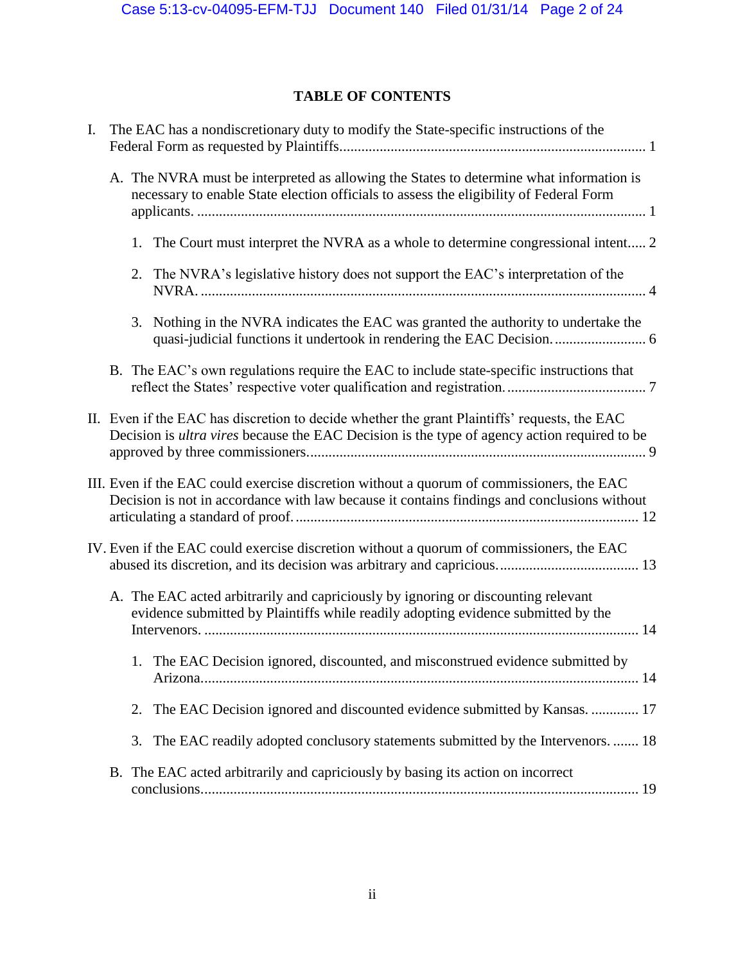# **TABLE OF CONTENTS**

| I. | The EAC has a nondiscretionary duty to modify the State-specific instructions of the                                                                                                                |
|----|-----------------------------------------------------------------------------------------------------------------------------------------------------------------------------------------------------|
|    | A. The NVRA must be interpreted as allowing the States to determine what information is<br>necessary to enable State election officials to assess the eligibility of Federal Form                   |
|    | 1. The Court must interpret the NVRA as a whole to determine congressional intent 2                                                                                                                 |
|    | 2. The NVRA's legislative history does not support the EAC's interpretation of the                                                                                                                  |
|    | 3. Nothing in the NVRA indicates the EAC was granted the authority to undertake the<br>quasi-judicial functions it undertook in rendering the EAC Decision 6                                        |
|    | B. The EAC's own regulations require the EAC to include state-specific instructions that                                                                                                            |
|    | II. Even if the EAC has discretion to decide whether the grant Plaintiffs' requests, the EAC<br>Decision is <i>ultra vires</i> because the EAC Decision is the type of agency action required to be |
|    | III. Even if the EAC could exercise discretion without a quorum of commissioners, the EAC<br>Decision is not in accordance with law because it contains findings and conclusions without            |
|    | IV. Even if the EAC could exercise discretion without a quorum of commissioners, the EAC                                                                                                            |
|    | A. The EAC acted arbitrarily and capriciously by ignoring or discounting relevant<br>evidence submitted by Plaintiffs while readily adopting evidence submitted by the                              |
|    | 1. The EAC Decision ignored, discounted, and misconstrued evidence submitted by                                                                                                                     |
|    | The EAC Decision ignored and discounted evidence submitted by Kansas.  17<br>2.                                                                                                                     |
|    | The EAC readily adopted conclusory statements submitted by the Intervenors.  18<br>3.                                                                                                               |
|    | B. The EAC acted arbitrarily and capriciously by basing its action on incorrect                                                                                                                     |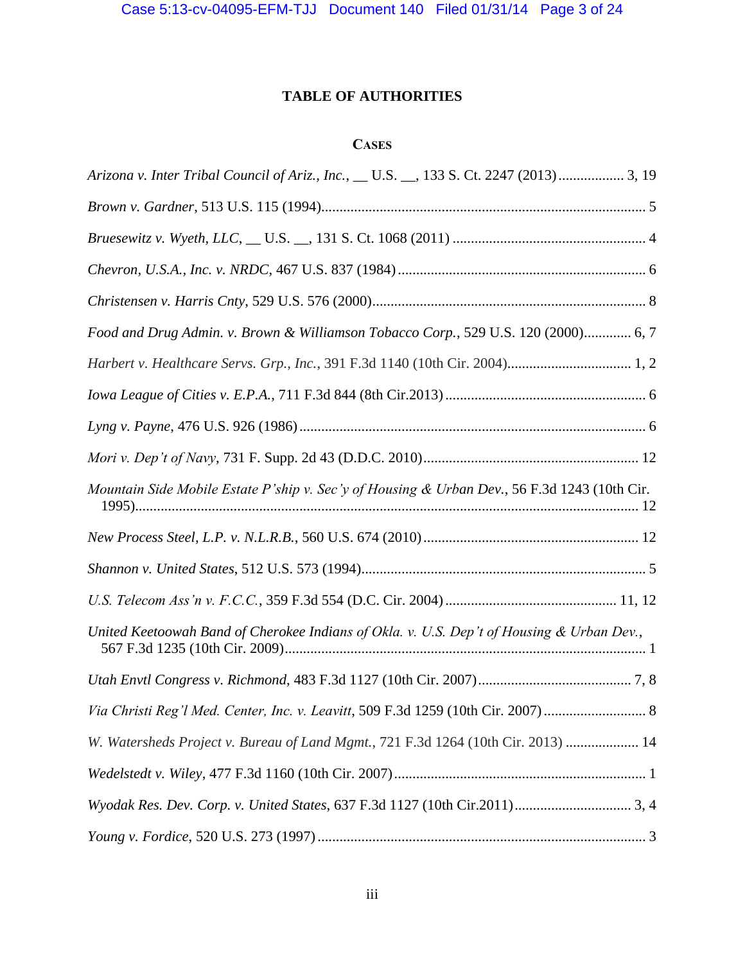# **TABLE OF AUTHORITIES**

# **CASES**

| Arizona v. Inter Tribal Council of Ariz., Inc., __ U.S. __, 133 S. Ct. 2247 (2013) 3, 19     |
|----------------------------------------------------------------------------------------------|
|                                                                                              |
|                                                                                              |
|                                                                                              |
|                                                                                              |
| Food and Drug Admin. v. Brown & Williamson Tobacco Corp., 529 U.S. 120 (2000) 6, 7           |
|                                                                                              |
|                                                                                              |
|                                                                                              |
|                                                                                              |
| Mountain Side Mobile Estate P'ship v. Sec'y of Housing & Urban Dev., 56 F.3d 1243 (10th Cir. |
|                                                                                              |
|                                                                                              |
|                                                                                              |
| United Keetoowah Band of Cherokee Indians of Okla. v. U.S. Dep't of Housing & Urban Dev.,    |
|                                                                                              |
|                                                                                              |
| W. Watersheds Project v. Bureau of Land Mgmt., 721 F.3d 1264 (10th Cir. 2013)  14            |
|                                                                                              |
|                                                                                              |
|                                                                                              |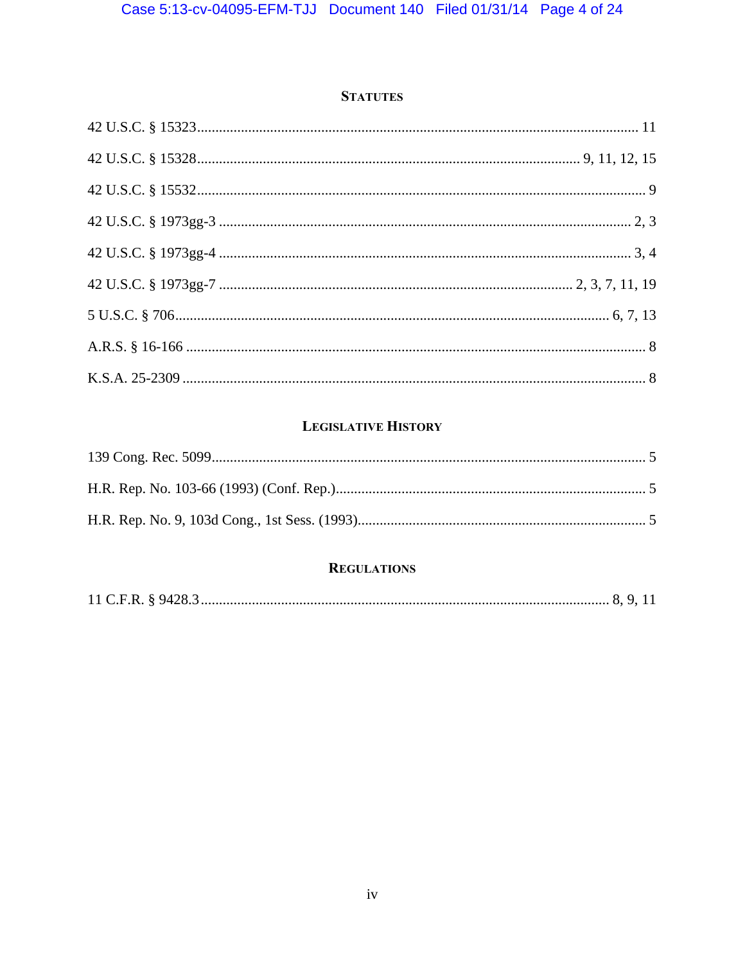# **STATUTES**

# **LEGISLATIVE HISTORY**

# **REGULATIONS**

|--|--|--|--|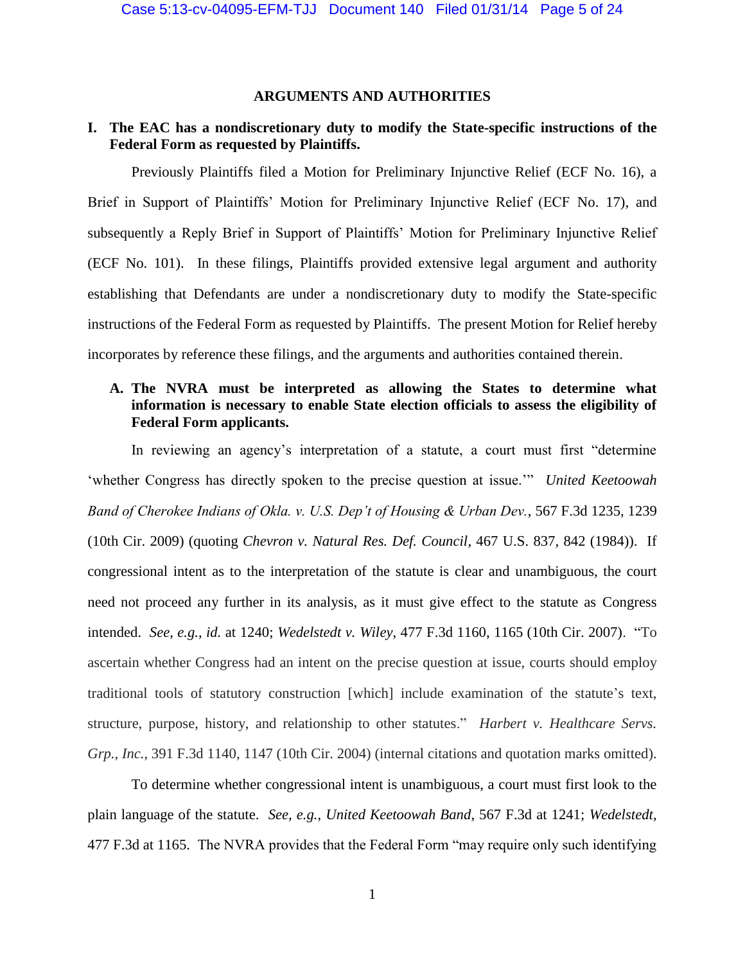## **ARGUMENTS AND AUTHORITIES**

## **I. The EAC has a nondiscretionary duty to modify the State-specific instructions of the Federal Form as requested by Plaintiffs.**

Previously Plaintiffs filed a Motion for Preliminary Injunctive Relief (ECF No. 16), a Brief in Support of Plaintiffs' Motion for Preliminary Injunctive Relief (ECF No. 17), and subsequently a Reply Brief in Support of Plaintiffs' Motion for Preliminary Injunctive Relief (ECF No. 101). In these filings, Plaintiffs provided extensive legal argument and authority establishing that Defendants are under a nondiscretionary duty to modify the State-specific instructions of the Federal Form as requested by Plaintiffs. The present Motion for Relief hereby incorporates by reference these filings, and the arguments and authorities contained therein.

# **A. The NVRA must be interpreted as allowing the States to determine what information is necessary to enable State election officials to assess the eligibility of Federal Form applicants.**

In reviewing an agency's interpretation of a statute, a court must first "determine 'whether Congress has directly spoken to the precise question at issue.'" *United Keetoowah Band of Cherokee Indians of Okla. v. U.S. Dep't of Housing & Urban Dev.*, 567 F.3d 1235, 1239 (10th Cir. 2009) (quoting *Chevron v. Natural Res. Def. Council*, 467 U.S. 837, 842 (1984)). If congressional intent as to the interpretation of the statute is clear and unambiguous, the court need not proceed any further in its analysis, as it must give effect to the statute as Congress intended. *See, e.g.*, *id.* at 1240; *Wedelstedt v. Wiley*, 477 F.3d 1160, 1165 (10th Cir. 2007). "To ascertain whether Congress had an intent on the precise question at issue, courts should employ traditional tools of statutory construction [which] include examination of the statute's text, structure, purpose, history, and relationship to other statutes." *Harbert v. Healthcare Servs. Grp., Inc.*, 391 F.3d 1140, 1147 (10th Cir. 2004) (internal citations and quotation marks omitted).

To determine whether congressional intent is unambiguous, a court must first look to the plain language of the statute. *See, e.g.*, *United Keetoowah Band*, 567 F.3d at 1241; *Wedelstedt*, 477 F.3d at 1165. The NVRA provides that the Federal Form "may require only such identifying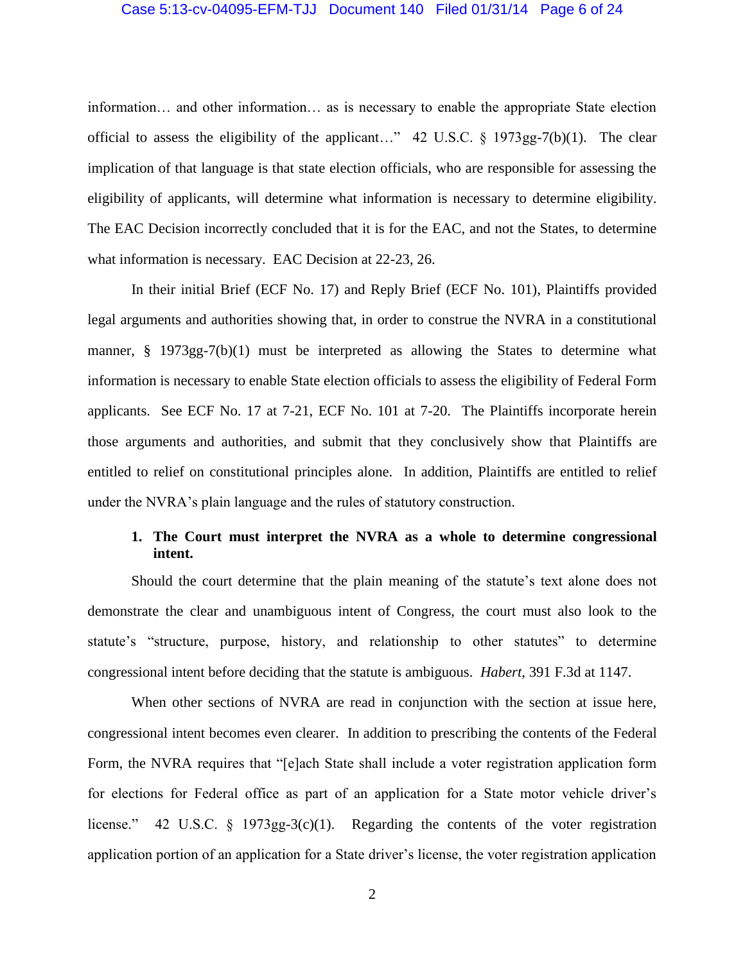### Case 5:13-cv-04095-EFM-TJJ Document 140 Filed 01/31/14 Page 6 of 24

information… and other information… as is necessary to enable the appropriate State election official to assess the eligibility of the applicant…" 42 U.S.C. § 1973gg-7(b)(1). The clear implication of that language is that state election officials, who are responsible for assessing the eligibility of applicants, will determine what information is necessary to determine eligibility. The EAC Decision incorrectly concluded that it is for the EAC, and not the States, to determine what information is necessary. EAC Decision at 22-23, 26.

In their initial Brief (ECF No. 17) and Reply Brief (ECF No. 101), Plaintiffs provided legal arguments and authorities showing that, in order to construe the NVRA in a constitutional manner, § 1973gg-7(b)(1) must be interpreted as allowing the States to determine what information is necessary to enable State election officials to assess the eligibility of Federal Form applicants. See ECF No. 17 at 7-21, ECF No. 101 at 7-20. The Plaintiffs incorporate herein those arguments and authorities, and submit that they conclusively show that Plaintiffs are entitled to relief on constitutional principles alone. In addition, Plaintiffs are entitled to relief under the NVRA's plain language and the rules of statutory construction.

## **1. The Court must interpret the NVRA as a whole to determine congressional intent.**

Should the court determine that the plain meaning of the statute's text alone does not demonstrate the clear and unambiguous intent of Congress, the court must also look to the statute's "structure, purpose, history, and relationship to other statutes" to determine congressional intent before deciding that the statute is ambiguous. *Habert*, 391 F.3d at 1147.

When other sections of NVRA are read in conjunction with the section at issue here, congressional intent becomes even clearer. In addition to prescribing the contents of the Federal Form, the NVRA requires that "[e]ach State shall include a voter registration application form for elections for Federal office as part of an application for a State motor vehicle driver's license." 42 U.S.C. § 1973gg-3(c)(1). Regarding the contents of the voter registration application portion of an application for a State driver's license, the voter registration application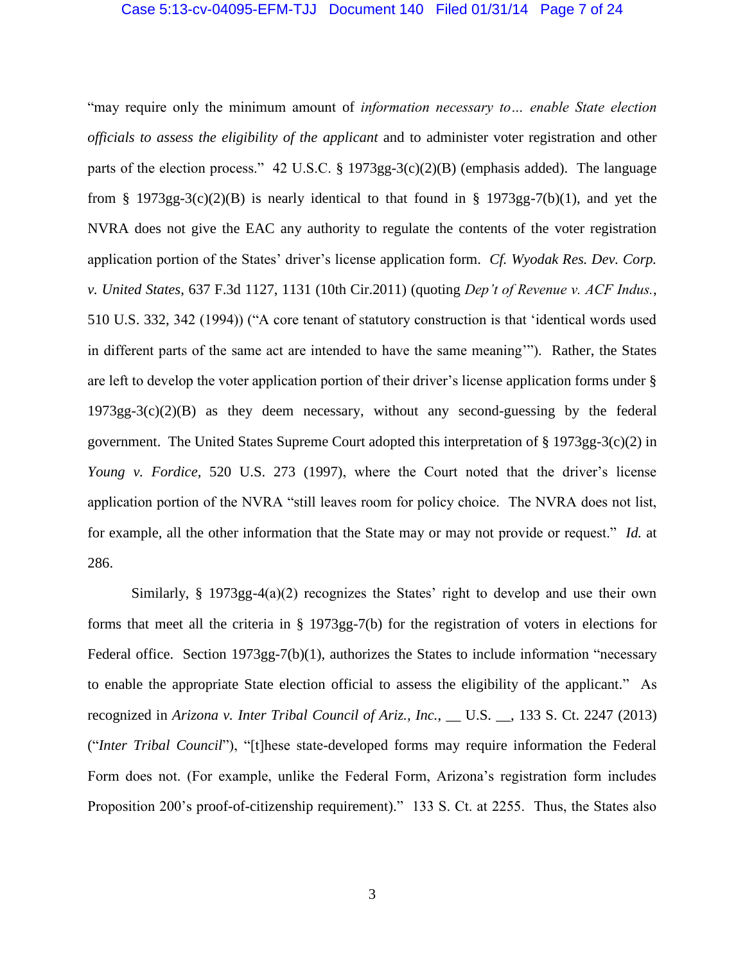## Case 5:13-cv-04095-EFM-TJJ Document 140 Filed 01/31/14 Page 7 of 24

"may require only the minimum amount of *information necessary to… enable State election officials to assess the eligibility of the applicant* and to administer voter registration and other parts of the election process." 42 U.S.C. § 1973gg-3(c)(2)(B) (emphasis added). The language from § 1973gg-3(c)(2)(B) is nearly identical to that found in § 1973gg-7(b)(1), and yet the NVRA does not give the EAC any authority to regulate the contents of the voter registration application portion of the States' driver's license application form. *Cf. Wyodak Res. Dev. Corp. v. United States*, 637 F.3d 1127, 1131 (10th Cir.2011) (quoting *Dep't of Revenue v. ACF Indus.*, 510 U.S. 332, 342 (1994)) ("A core tenant of statutory construction is that 'identical words used in different parts of the same act are intended to have the same meaning'"). Rather, the States are left to develop the voter application portion of their driver's license application forms under § 1973gg-3(c)(2)(B) as they deem necessary, without any second-guessing by the federal government. The United States Supreme Court adopted this interpretation of § 1973gg-3(c)(2) in *Young v. Fordice*, 520 U.S. 273 (1997), where the Court noted that the driver's license application portion of the NVRA "still leaves room for policy choice. The NVRA does not list, for example, all the other information that the State may or may not provide or request." *Id.* at 286.

Similarly,  $\S$  1973gg-4(a)(2) recognizes the States' right to develop and use their own forms that meet all the criteria in § 1973gg-7(b) for the registration of voters in elections for Federal office. Section 1973gg-7(b)(1), authorizes the States to include information "necessary to enable the appropriate State election official to assess the eligibility of the applicant." As recognized in *Arizona v. Inter Tribal Council of Ariz., Inc.*, \_\_ U.S. \_\_, 133 S. Ct. 2247 (2013) ("*Inter Tribal Council*"), "[t]hese state-developed forms may require information the Federal Form does not. (For example, unlike the Federal Form, Arizona's registration form includes Proposition 200's proof-of-citizenship requirement)." 133 S. Ct. at 2255. Thus, the States also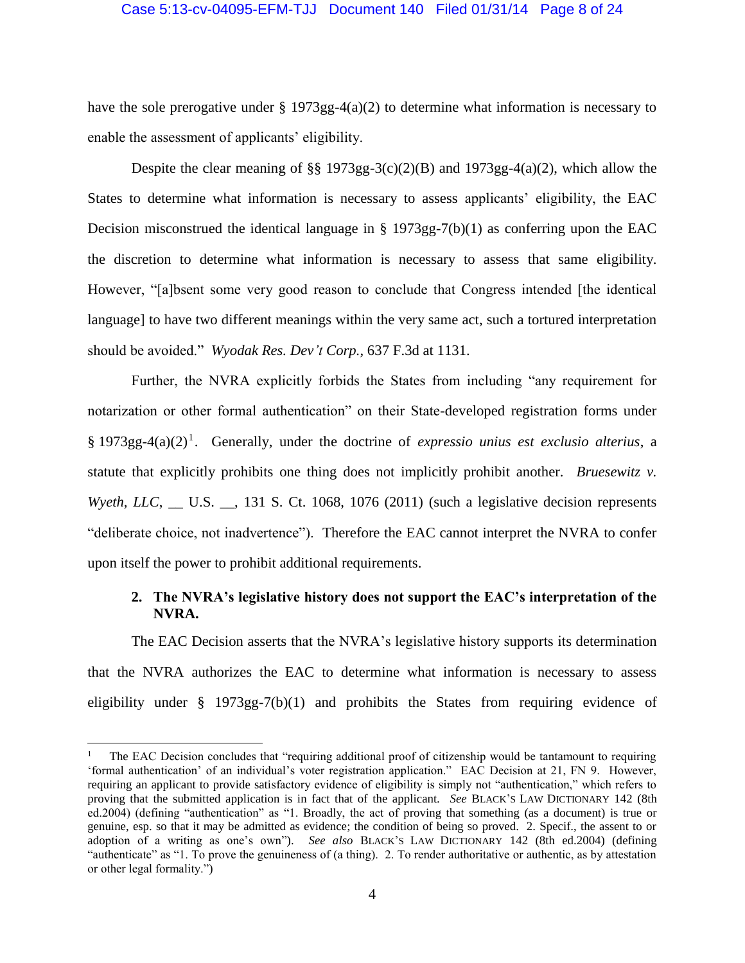## Case 5:13-cv-04095-EFM-TJJ Document 140 Filed 01/31/14 Page 8 of 24

have the sole prerogative under  $\S 1973gg-4(a)(2)$  to determine what information is necessary to enable the assessment of applicants' eligibility.

Despite the clear meaning of §§ 1973gg-3(c)(2)(B) and 1973gg-4(a)(2), which allow the States to determine what information is necessary to assess applicants' eligibility, the EAC Decision misconstrued the identical language in § 1973gg-7(b)(1) as conferring upon the EAC the discretion to determine what information is necessary to assess that same eligibility. However, "[a]bsent some very good reason to conclude that Congress intended [the identical language] to have two different meanings within the very same act, such a tortured interpretation should be avoided." *Wyodak Res. Dev't Corp.*, 637 F.3d at 1131.

Further, the NVRA explicitly forbids the States from including "any requirement for notarization or other formal authentication" on their State-developed registration forms under § 1973gg-4(a)(2) 1 . Generally, under the doctrine of *expressio unius est exclusio alterius*, a statute that explicitly prohibits one thing does not implicitly prohibit another. *Bruesewitz v. Wyeth, LLC*, \_\_ U.S. \_\_, 131 S. Ct. 1068, 1076 (2011) (such a legislative decision represents "deliberate choice, not inadvertence"). Therefore the EAC cannot interpret the NVRA to confer upon itself the power to prohibit additional requirements.

## **2. The NVRA's legislative history does not support the EAC's interpretation of the NVRA.**

The EAC Decision asserts that the NVRA's legislative history supports its determination that the NVRA authorizes the EAC to determine what information is necessary to assess eligibility under  $\S$  1973gg-7(b)(1) and prohibits the States from requiring evidence of

 $\overline{\phantom{a}}$ 

The EAC Decision concludes that "requiring additional proof of citizenship would be tantamount to requiring 'formal authentication' of an individual's voter registration application." EAC Decision at 21, FN 9. However, requiring an applicant to provide satisfactory evidence of eligibility is simply not "authentication," which refers to proving that the submitted application is in fact that of the applicant. *See* BLACK'S LAW DICTIONARY 142 (8th ed.2004) (defining "authentication" as "1. Broadly, the act of proving that something (as a document) is true or genuine, esp. so that it may be admitted as evidence; the condition of being so proved. 2. Specif., the assent to or adoption of a writing as one's own"). *See also* BLACK'S LAW DICTIONARY 142 (8th ed.2004) (defining "authenticate" as "1. To prove the genuineness of (a thing). 2. To render authoritative or authentic, as by attestation or other legal formality.")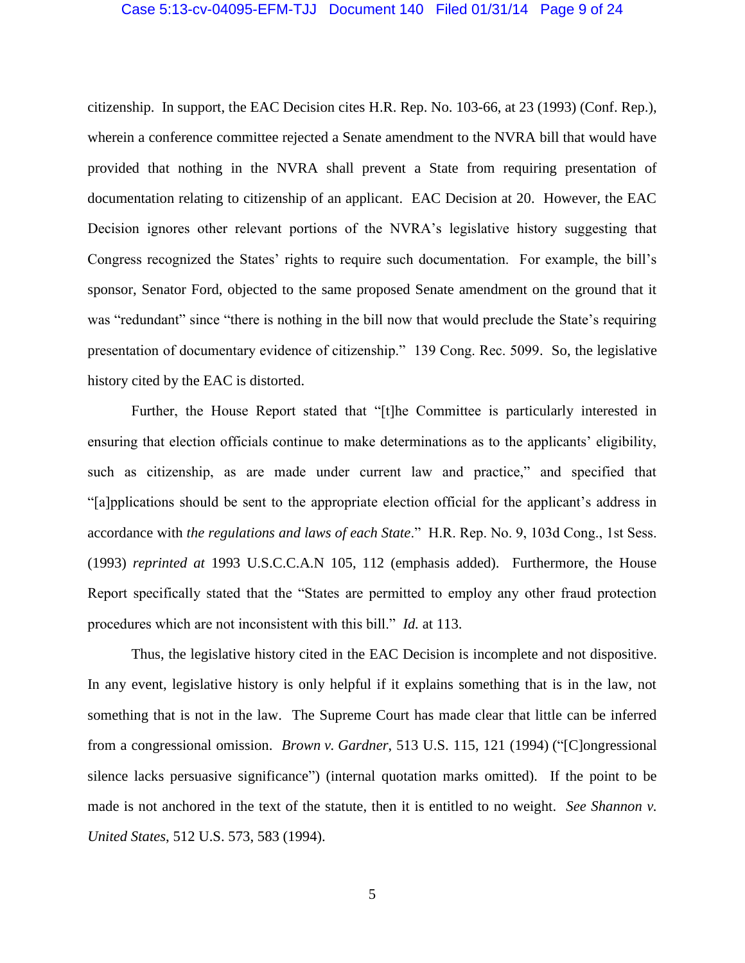## Case 5:13-cv-04095-EFM-TJJ Document 140 Filed 01/31/14 Page 9 of 24

citizenship. In support, the EAC Decision cites H.R. Rep. No. 103-66, at 23 (1993) (Conf. Rep.), wherein a conference committee rejected a Senate amendment to the NVRA bill that would have provided that nothing in the NVRA shall prevent a State from requiring presentation of documentation relating to citizenship of an applicant. EAC Decision at 20. However, the EAC Decision ignores other relevant portions of the NVRA's legislative history suggesting that Congress recognized the States' rights to require such documentation. For example, the bill's sponsor, Senator Ford, objected to the same proposed Senate amendment on the ground that it was "redundant" since "there is nothing in the bill now that would preclude the State's requiring presentation of documentary evidence of citizenship." 139 Cong. Rec. 5099. So, the legislative history cited by the EAC is distorted.

Further, the House Report stated that "[t]he Committee is particularly interested in ensuring that election officials continue to make determinations as to the applicants' eligibility, such as citizenship, as are made under current law and practice," and specified that "[a]pplications should be sent to the appropriate election official for the applicant's address in accordance with *the regulations and laws of each State*." H.R. Rep. No. 9, 103d Cong., 1st Sess. (1993) *reprinted at* 1993 U.S.C.C.A.N 105, 112 (emphasis added). Furthermore, the House Report specifically stated that the "States are permitted to employ any other fraud protection procedures which are not inconsistent with this bill." *Id.* at 113.

Thus, the legislative history cited in the EAC Decision is incomplete and not dispositive. In any event, legislative history is only helpful if it explains something that is in the law, not something that is not in the law. The Supreme Court has made clear that little can be inferred from a congressional omission. *Brown v. Gardner*, 513 U.S. 115, 121 (1994) ("[C]ongressional silence lacks persuasive significance") (internal quotation marks omitted). If the point to be made is not anchored in the text of the statute, then it is entitled to no weight. *See Shannon v*. *United States*, 512 U.S. 573, 583 (1994).

5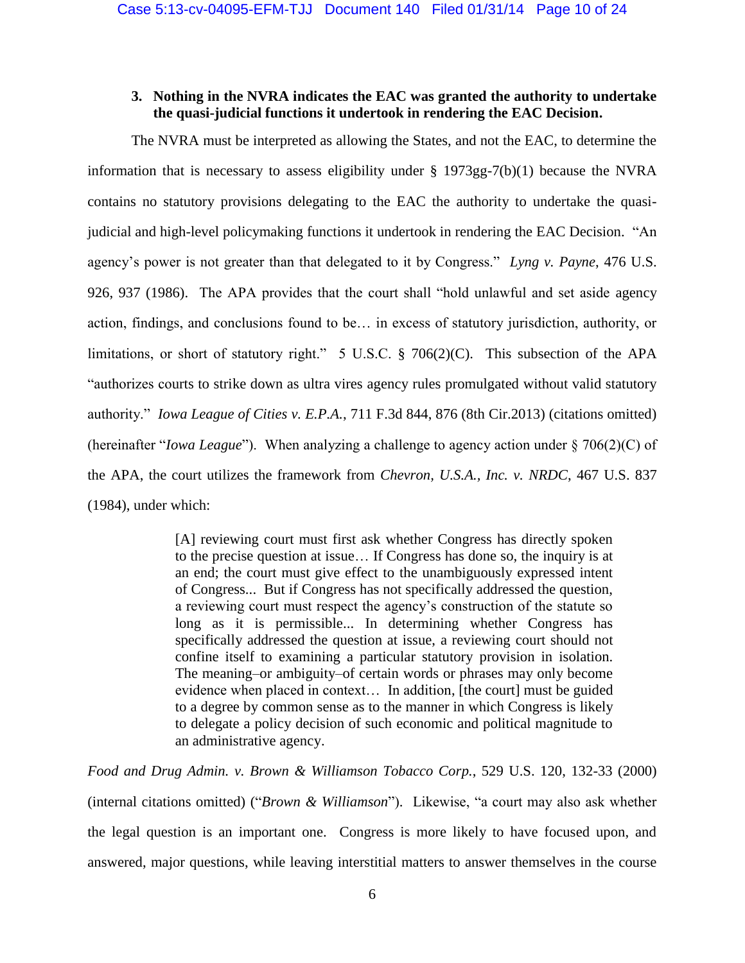## **3. Nothing in the NVRA indicates the EAC was granted the authority to undertake the quasi-judicial functions it undertook in rendering the EAC Decision.**

The NVRA must be interpreted as allowing the States, and not the EAC, to determine the information that is necessary to assess eligibility under § 1973gg-7(b)(1) because the NVRA contains no statutory provisions delegating to the EAC the authority to undertake the quasijudicial and high-level policymaking functions it undertook in rendering the EAC Decision. "An agency's power is not greater than that delegated to it by Congress." *Lyng v. Payne*, 476 U.S. 926, 937 (1986). The APA provides that the court shall "hold unlawful and set aside agency action, findings, and conclusions found to be… in excess of statutory jurisdiction, authority, or limitations, or short of statutory right." 5 U.S.C. § 706(2)(C). This subsection of the APA "authorizes courts to strike down as ultra vires agency rules promulgated without valid statutory authority." *Iowa League of Cities v. E.P.A.*, 711 F.3d 844, 876 (8th Cir.2013) (citations omitted) (hereinafter "*Iowa League*"). When analyzing a challenge to agency action under § 706(2)(C) of the APA, the court utilizes the framework from *Chevron, U.S.A., Inc. v. NRDC*, 467 U.S. 837 (1984), under which:

> [A] reviewing court must first ask whether Congress has directly spoken to the precise question at issue… If Congress has done so, the inquiry is at an end; the court must give effect to the unambiguously expressed intent of Congress... But if Congress has not specifically addressed the question, a reviewing court must respect the agency's construction of the statute so long as it is permissible... In determining whether Congress has specifically addressed the question at issue, a reviewing court should not confine itself to examining a particular statutory provision in isolation. The meaning–or ambiguity–of certain words or phrases may only become evidence when placed in context… In addition, [the court] must be guided to a degree by common sense as to the manner in which Congress is likely to delegate a policy decision of such economic and political magnitude to an administrative agency.

*Food and Drug Admin. v. Brown & Williamson Tobacco Corp.*, 529 U.S. 120, 132-33 (2000) (internal citations omitted) ("*Brown & Williamson*"). Likewise, "a court may also ask whether the legal question is an important one. Congress is more likely to have focused upon, and answered, major questions, while leaving interstitial matters to answer themselves in the course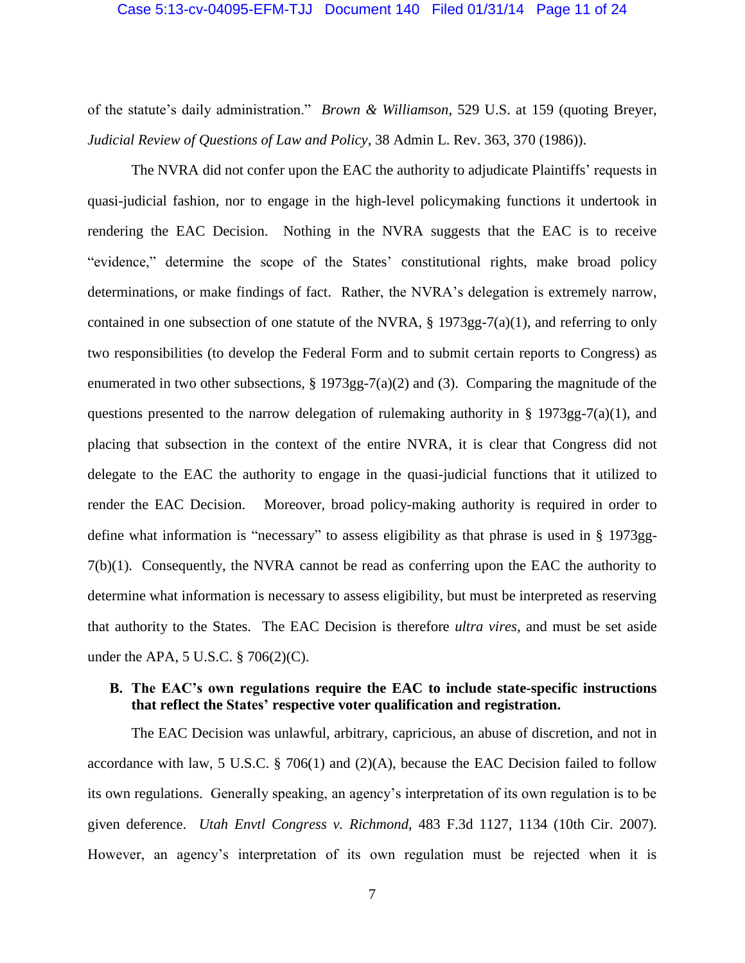### Case 5:13-cv-04095-EFM-TJJ Document 140 Filed 01/31/14 Page 11 of 24

of the statute's daily administration." *Brown & Williamson*, 529 U.S. at 159 (quoting Breyer, *Judicial Review of Questions of Law and Policy*, 38 Admin L. Rev. 363, 370 (1986)).

The NVRA did not confer upon the EAC the authority to adjudicate Plaintiffs' requests in quasi-judicial fashion, nor to engage in the high-level policymaking functions it undertook in rendering the EAC Decision. Nothing in the NVRA suggests that the EAC is to receive "evidence," determine the scope of the States' constitutional rights, make broad policy determinations, or make findings of fact. Rather, the NVRA's delegation is extremely narrow, contained in one subsection of one statute of the NVRA,  $\S$  1973gg-7(a)(1), and referring to only two responsibilities (to develop the Federal Form and to submit certain reports to Congress) as enumerated in two other subsections, § 1973gg-7(a)(2) and (3). Comparing the magnitude of the questions presented to the narrow delegation of rulemaking authority in  $\S$  1973gg-7(a)(1), and placing that subsection in the context of the entire NVRA, it is clear that Congress did not delegate to the EAC the authority to engage in the quasi-judicial functions that it utilized to render the EAC Decision. Moreover, broad policy-making authority is required in order to define what information is "necessary" to assess eligibility as that phrase is used in § 1973gg- $7(b)(1)$ . Consequently, the NVRA cannot be read as conferring upon the EAC the authority to determine what information is necessary to assess eligibility, but must be interpreted as reserving that authority to the States. The EAC Decision is therefore *ultra vires*, and must be set aside under the APA, 5 U.S.C. § 706(2)(C).

## **B. The EAC's own regulations require the EAC to include state-specific instructions that reflect the States' respective voter qualification and registration.**

The EAC Decision was unlawful, arbitrary, capricious, an abuse of discretion, and not in accordance with law, 5 U.S.C. § 706(1) and (2)(A), because the EAC Decision failed to follow its own regulations. Generally speaking, an agency's interpretation of its own regulation is to be given deference. *Utah Envtl Congress v. Richmond*, 483 F.3d 1127, 1134 (10th Cir. 2007). However, an agency's interpretation of its own regulation must be rejected when it is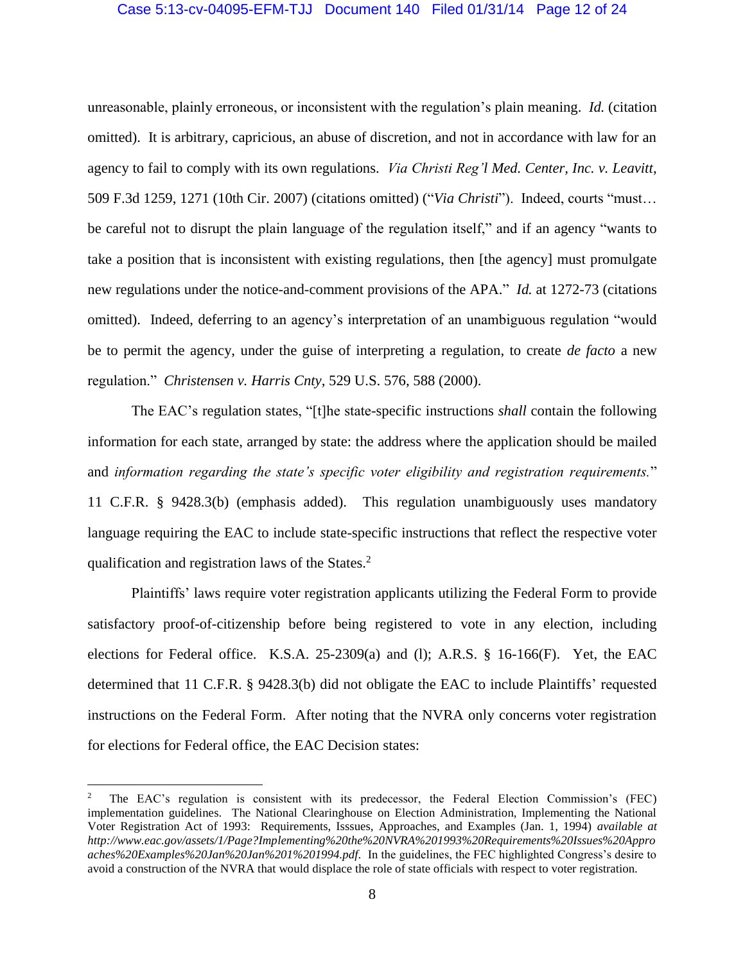## Case 5:13-cv-04095-EFM-TJJ Document 140 Filed 01/31/14 Page 12 of 24

unreasonable, plainly erroneous, or inconsistent with the regulation's plain meaning. *Id.* (citation omitted). It is arbitrary, capricious, an abuse of discretion, and not in accordance with law for an agency to fail to comply with its own regulations. *Via Christi Reg'l Med. Center, Inc. v. Leavitt*, 509 F.3d 1259, 1271 (10th Cir. 2007) (citations omitted) ("*Via Christi*"). Indeed, courts "must… be careful not to disrupt the plain language of the regulation itself," and if an agency "wants to take a position that is inconsistent with existing regulations, then [the agency] must promulgate new regulations under the notice-and-comment provisions of the APA." *Id.* at 1272-73 (citations omitted). Indeed, deferring to an agency's interpretation of an unambiguous regulation "would be to permit the agency, under the guise of interpreting a regulation, to create *de facto* a new regulation." *Christensen v. Harris Cnty*, 529 U.S. 576, 588 (2000).

The EAC's regulation states, "[t]he state-specific instructions *shall* contain the following information for each state, arranged by state: the address where the application should be mailed and *information regarding the state's specific voter eligibility and registration requirements.*" 11 C.F.R. § 9428.3(b) (emphasis added). This regulation unambiguously uses mandatory language requiring the EAC to include state-specific instructions that reflect the respective voter qualification and registration laws of the States.<sup>2</sup>

Plaintiffs' laws require voter registration applicants utilizing the Federal Form to provide satisfactory proof-of-citizenship before being registered to vote in any election, including elections for Federal office. K.S.A. 25-2309(a) and (l); A.R.S. § 16-166(F). Yet, the EAC determined that 11 C.F.R. § 9428.3(b) did not obligate the EAC to include Plaintiffs' requested instructions on the Federal Form. After noting that the NVRA only concerns voter registration for elections for Federal office, the EAC Decision states:

l

<sup>2</sup> The EAC's regulation is consistent with its predecessor, the Federal Election Commission's (FEC) implementation guidelines. The National Clearinghouse on Election Administration, Implementing the National Voter Registration Act of 1993: Requirements, Isssues, Approaches, and Examples (Jan. 1, 1994) *available at http://www.eac.gov/assets/1/Page?Implementing%20the%20NVRA%201993%20Requirements%20Issues%20Appro aches%20Examples%20Jan%20Jan%201%201994.pdf.* In the guidelines, the FEC highlighted Congress's desire to avoid a construction of the NVRA that would displace the role of state officials with respect to voter registration.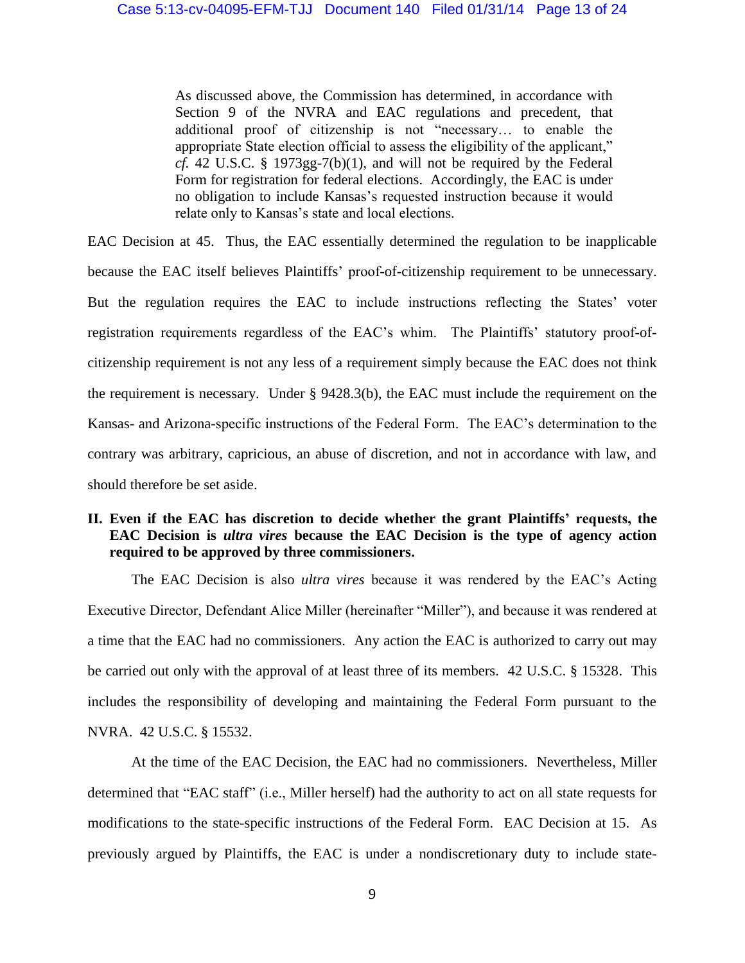As discussed above, the Commission has determined, in accordance with Section 9 of the NVRA and EAC regulations and precedent, that additional proof of citizenship is not "necessary… to enable the appropriate State election official to assess the eligibility of the applicant," *cf.* 42 U.S.C. § 1973gg-7(b)(1), and will not be required by the Federal Form for registration for federal elections. Accordingly, the EAC is under no obligation to include Kansas's requested instruction because it would relate only to Kansas's state and local elections.

EAC Decision at 45. Thus, the EAC essentially determined the regulation to be inapplicable because the EAC itself believes Plaintiffs' proof-of-citizenship requirement to be unnecessary. But the regulation requires the EAC to include instructions reflecting the States' voter registration requirements regardless of the EAC's whim. The Plaintiffs' statutory proof-ofcitizenship requirement is not any less of a requirement simply because the EAC does not think the requirement is necessary. Under § 9428.3(b), the EAC must include the requirement on the Kansas- and Arizona-specific instructions of the Federal Form. The EAC's determination to the contrary was arbitrary, capricious, an abuse of discretion, and not in accordance with law, and should therefore be set aside.

# **II. Even if the EAC has discretion to decide whether the grant Plaintiffs' requests, the EAC Decision is** *ultra vires* **because the EAC Decision is the type of agency action required to be approved by three commissioners.**

The EAC Decision is also *ultra vires* because it was rendered by the EAC's Acting Executive Director, Defendant Alice Miller (hereinafter "Miller"), and because it was rendered at a time that the EAC had no commissioners. Any action the EAC is authorized to carry out may be carried out only with the approval of at least three of its members. 42 U.S.C. § 15328. This includes the responsibility of developing and maintaining the Federal Form pursuant to the NVRA. 42 U.S.C. § 15532.

At the time of the EAC Decision, the EAC had no commissioners. Nevertheless, Miller determined that "EAC staff" (i.e., Miller herself) had the authority to act on all state requests for modifications to the state-specific instructions of the Federal Form. EAC Decision at 15. As previously argued by Plaintiffs, the EAC is under a nondiscretionary duty to include state-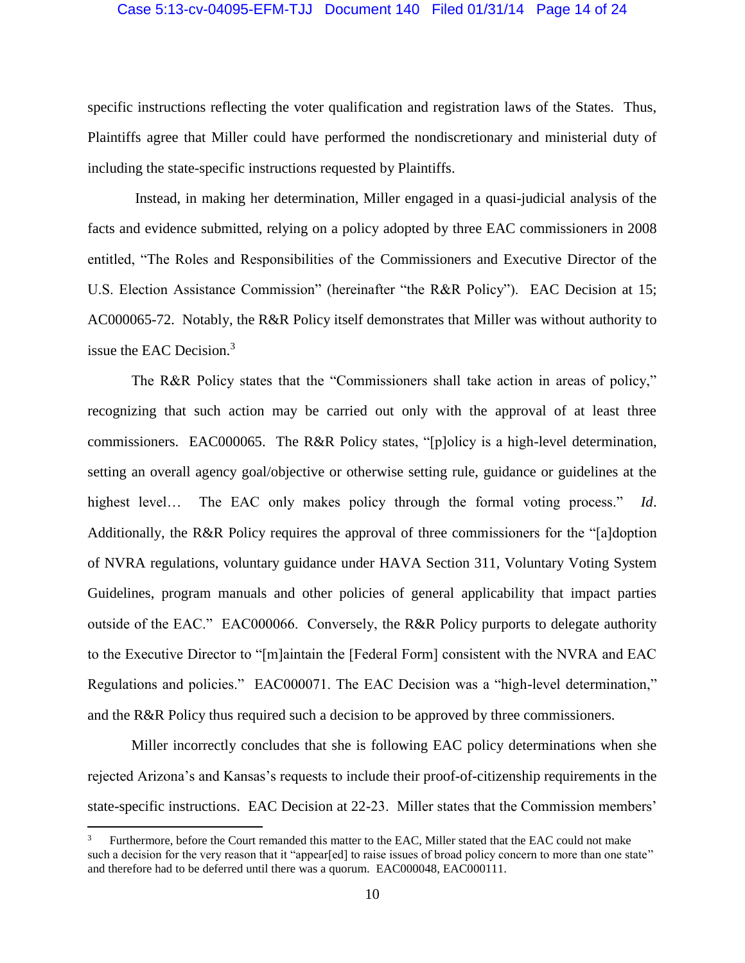## Case 5:13-cv-04095-EFM-TJJ Document 140 Filed 01/31/14 Page 14 of 24

specific instructions reflecting the voter qualification and registration laws of the States. Thus, Plaintiffs agree that Miller could have performed the nondiscretionary and ministerial duty of including the state-specific instructions requested by Plaintiffs.

Instead, in making her determination, Miller engaged in a quasi-judicial analysis of the facts and evidence submitted, relying on a policy adopted by three EAC commissioners in 2008 entitled, "The Roles and Responsibilities of the Commissioners and Executive Director of the U.S. Election Assistance Commission" (hereinafter "the R&R Policy"). EAC Decision at 15; AC000065-72. Notably, the R&R Policy itself demonstrates that Miller was without authority to issue the EAC Decision.<sup>3</sup>

The R&R Policy states that the "Commissioners shall take action in areas of policy," recognizing that such action may be carried out only with the approval of at least three commissioners. EAC000065. The R&R Policy states, "[p]olicy is a high-level determination, setting an overall agency goal/objective or otherwise setting rule, guidance or guidelines at the highest level… The EAC only makes policy through the formal voting process." *Id*. Additionally, the R&R Policy requires the approval of three commissioners for the "[a]doption of NVRA regulations, voluntary guidance under HAVA Section 311, Voluntary Voting System Guidelines, program manuals and other policies of general applicability that impact parties outside of the EAC." EAC000066. Conversely, the R&R Policy purports to delegate authority to the Executive Director to "[m]aintain the [Federal Form] consistent with the NVRA and EAC Regulations and policies." EAC000071. The EAC Decision was a "high-level determination," and the R&R Policy thus required such a decision to be approved by three commissioners.

Miller incorrectly concludes that she is following EAC policy determinations when she rejected Arizona's and Kansas's requests to include their proof-of-citizenship requirements in the state-specific instructions. EAC Decision at 22-23. Miller states that the Commission members'

 $\overline{\phantom{a}}$ 

Furthermore, before the Court remanded this matter to the EAC, Miller stated that the EAC could not make such a decision for the very reason that it "appear[ed] to raise issues of broad policy concern to more than one state" and therefore had to be deferred until there was a quorum. EAC000048, EAC000111.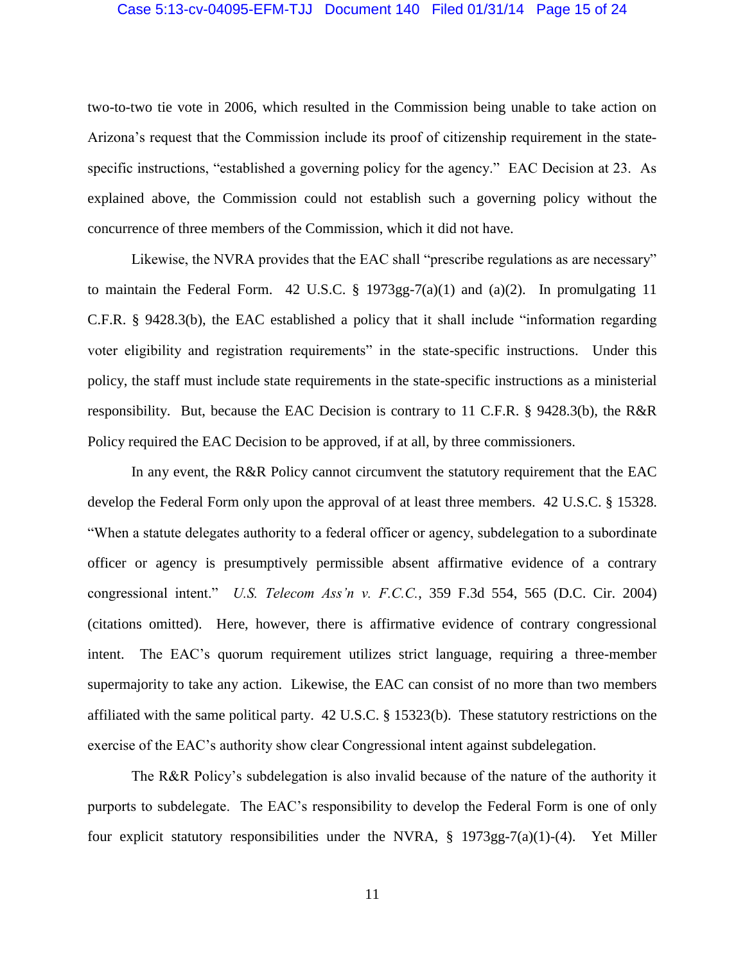### Case 5:13-cv-04095-EFM-TJJ Document 140 Filed 01/31/14 Page 15 of 24

two-to-two tie vote in 2006, which resulted in the Commission being unable to take action on Arizona's request that the Commission include its proof of citizenship requirement in the statespecific instructions, "established a governing policy for the agency." EAC Decision at 23. As explained above, the Commission could not establish such a governing policy without the concurrence of three members of the Commission, which it did not have.

Likewise, the NVRA provides that the EAC shall "prescribe regulations as are necessary" to maintain the Federal Form. 42 U.S.C.  $\S$  1973gg-7(a)(1) and (a)(2). In promulgating 11 C.F.R. § 9428.3(b), the EAC established a policy that it shall include "information regarding voter eligibility and registration requirements" in the state-specific instructions. Under this policy, the staff must include state requirements in the state-specific instructions as a ministerial responsibility. But, because the EAC Decision is contrary to 11 C.F.R. § 9428.3(b), the R&R Policy required the EAC Decision to be approved, if at all, by three commissioners.

In any event, the R&R Policy cannot circumvent the statutory requirement that the EAC develop the Federal Form only upon the approval of at least three members. 42 U.S.C. § 15328. "When a statute delegates authority to a federal officer or agency, subdelegation to a subordinate officer or agency is presumptively permissible absent affirmative evidence of a contrary congressional intent." *U.S. Telecom Ass'n v. F.C.C.*, 359 F.3d 554, 565 (D.C. Cir. 2004) (citations omitted). Here, however, there is affirmative evidence of contrary congressional intent. The EAC's quorum requirement utilizes strict language, requiring a three-member supermajority to take any action. Likewise, the EAC can consist of no more than two members affiliated with the same political party. 42 U.S.C. § 15323(b). These statutory restrictions on the exercise of the EAC's authority show clear Congressional intent against subdelegation.

The R&R Policy's subdelegation is also invalid because of the nature of the authority it purports to subdelegate. The EAC's responsibility to develop the Federal Form is one of only four explicit statutory responsibilities under the NVRA, § 1973gg-7(a)(1)-(4). Yet Miller

11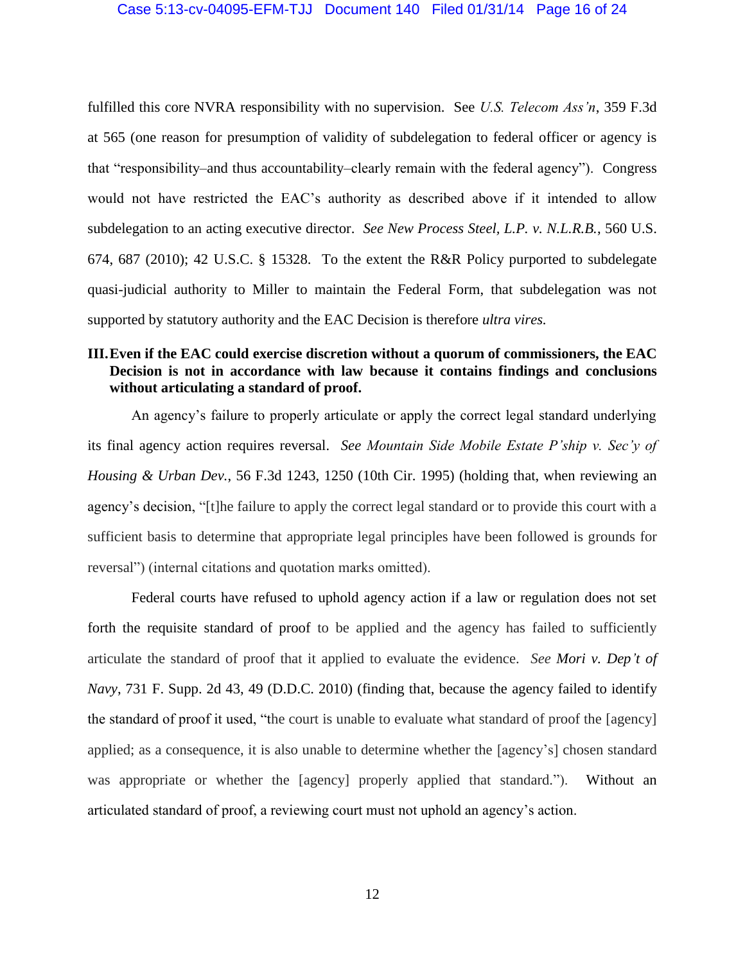### Case 5:13-cv-04095-EFM-TJJ Document 140 Filed 01/31/14 Page 16 of 24

fulfilled this core NVRA responsibility with no supervision. See *U.S. Telecom Ass'n*, 359 F.3d at 565 (one reason for presumption of validity of subdelegation to federal officer or agency is that "responsibility–and thus accountability–clearly remain with the federal agency"). Congress would not have restricted the EAC's authority as described above if it intended to allow subdelegation to an acting executive director. *See New Process Steel, L.P. v. N.L.R.B.*, 560 U.S. 674, 687 (2010); 42 U.S.C. § 15328. To the extent the R&R Policy purported to subdelegate quasi-judicial authority to Miller to maintain the Federal Form, that subdelegation was not supported by statutory authority and the EAC Decision is therefore *ultra vires.*

# **III.Even if the EAC could exercise discretion without a quorum of commissioners, the EAC Decision is not in accordance with law because it contains findings and conclusions without articulating a standard of proof.**

An agency's failure to properly articulate or apply the correct legal standard underlying its final agency action requires reversal. *See Mountain Side Mobile Estate P'ship v. Sec'y of Housing & Urban Dev.*, 56 F.3d 1243, 1250 (10th Cir. 1995) (holding that, when reviewing an agency's decision, "[t]he failure to apply the correct legal standard or to provide this court with a sufficient basis to determine that appropriate legal principles have been followed is grounds for reversal") (internal citations and quotation marks omitted).

Federal courts have refused to uphold agency action if a law or regulation does not set forth the requisite standard of proof to be applied and the agency has failed to sufficiently articulate the standard of proof that it applied to evaluate the evidence. *See Mori v. Dep't of Navy*, 731 F. Supp. 2d 43, 49 (D.D.C. 2010) (finding that, because the agency failed to identify the standard of proof it used, "the court is unable to evaluate what standard of proof the [agency] applied; as a consequence, it is also unable to determine whether the [agency's] chosen standard was appropriate or whether the [agency] properly applied that standard."). Without an articulated standard of proof, a reviewing court must not uphold an agency's action.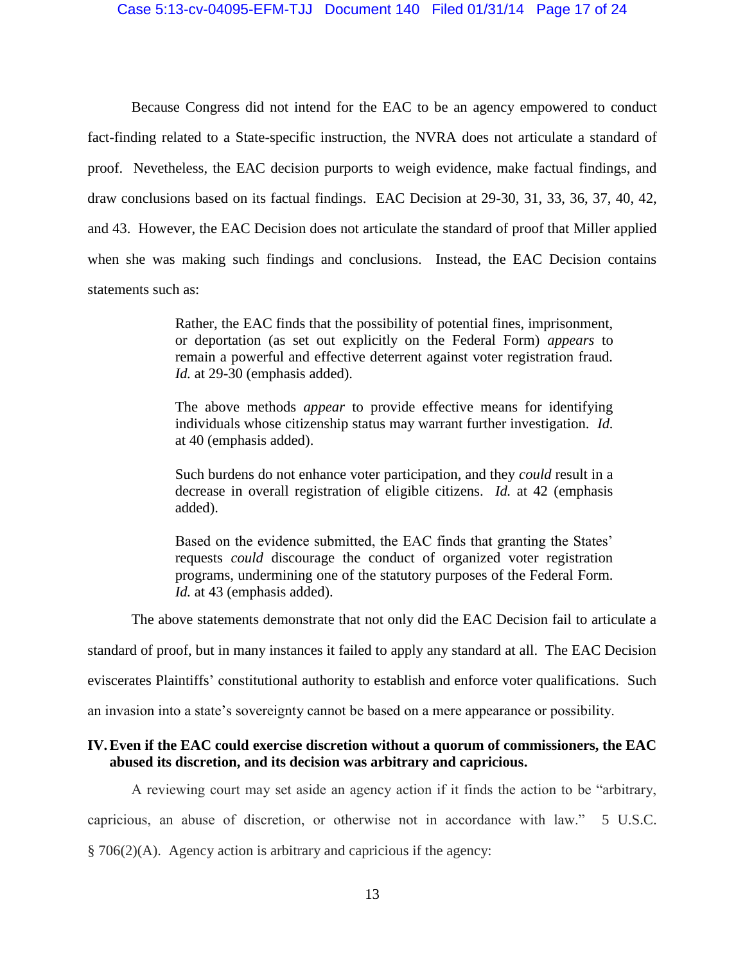### Case 5:13-cv-04095-EFM-TJJ Document 140 Filed 01/31/14 Page 17 of 24

Because Congress did not intend for the EAC to be an agency empowered to conduct fact-finding related to a State-specific instruction, the NVRA does not articulate a standard of proof. Nevetheless, the EAC decision purports to weigh evidence, make factual findings, and draw conclusions based on its factual findings. EAC Decision at 29-30, 31, 33, 36, 37, 40, 42, and 43. However, the EAC Decision does not articulate the standard of proof that Miller applied when she was making such findings and conclusions. Instead, the EAC Decision contains statements such as:

> Rather, the EAC finds that the possibility of potential fines, imprisonment, or deportation (as set out explicitly on the Federal Form) *appears* to remain a powerful and effective deterrent against voter registration fraud. *Id.* at 29-30 (emphasis added).

> The above methods *appear* to provide effective means for identifying individuals whose citizenship status may warrant further investigation. *Id.* at 40 (emphasis added).

> Such burdens do not enhance voter participation, and they *could* result in a decrease in overall registration of eligible citizens. *Id.* at 42 (emphasis added).

> Based on the evidence submitted, the EAC finds that granting the States' requests *could* discourage the conduct of organized voter registration programs, undermining one of the statutory purposes of the Federal Form. *Id.* at 43 (emphasis added).

The above statements demonstrate that not only did the EAC Decision fail to articulate a

standard of proof, but in many instances it failed to apply any standard at all. The EAC Decision

eviscerates Plaintiffs' constitutional authority to establish and enforce voter qualifications. Such

an invasion into a state's sovereignty cannot be based on a mere appearance or possibility.

## **IV.Even if the EAC could exercise discretion without a quorum of commissioners, the EAC abused its discretion, and its decision was arbitrary and capricious.**

A reviewing court may set aside an agency action if it finds the action to be "arbitrary, capricious, an abuse of discretion, or otherwise not in accordance with law." 5 U.S.C. § 706(2)(A). Agency action is arbitrary and capricious if the agency: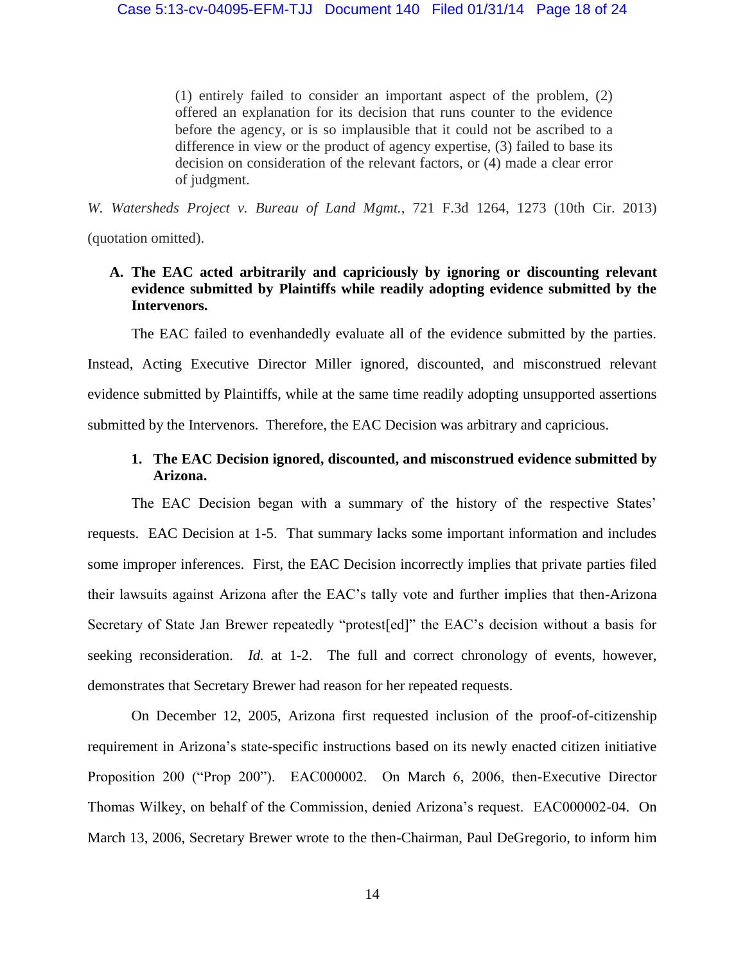(1) entirely failed to consider an important aspect of the problem, (2) offered an explanation for its decision that runs counter to the evidence before the agency, or is so implausible that it could not be ascribed to a difference in view or the product of agency expertise, (3) failed to base its decision on consideration of the relevant factors, or (4) made a clear error of judgment.

*W. Watersheds Project v. Bureau of Land Mgmt.*, 721 F.3d 1264, 1273 (10th Cir. 2013)

(quotation omitted).

# **A. The EAC acted arbitrarily and capriciously by ignoring or discounting relevant evidence submitted by Plaintiffs while readily adopting evidence submitted by the Intervenors.**

The EAC failed to evenhandedly evaluate all of the evidence submitted by the parties. Instead, Acting Executive Director Miller ignored, discounted, and misconstrued relevant evidence submitted by Plaintiffs, while at the same time readily adopting unsupported assertions submitted by the Intervenors. Therefore, the EAC Decision was arbitrary and capricious.

# **1. The EAC Decision ignored, discounted, and misconstrued evidence submitted by Arizona.**

The EAC Decision began with a summary of the history of the respective States' requests. EAC Decision at 1-5. That summary lacks some important information and includes some improper inferences. First, the EAC Decision incorrectly implies that private parties filed their lawsuits against Arizona after the EAC's tally vote and further implies that then-Arizona Secretary of State Jan Brewer repeatedly "protest[ed]" the EAC's decision without a basis for seeking reconsideration. *Id.* at 1-2. The full and correct chronology of events, however, demonstrates that Secretary Brewer had reason for her repeated requests.

On December 12, 2005, Arizona first requested inclusion of the proof-of-citizenship requirement in Arizona's state-specific instructions based on its newly enacted citizen initiative Proposition 200 ("Prop 200"). EAC000002. On March 6, 2006, then-Executive Director Thomas Wilkey, on behalf of the Commission, denied Arizona's request. EAC000002-04. On March 13, 2006, Secretary Brewer wrote to the then-Chairman, Paul DeGregorio, to inform him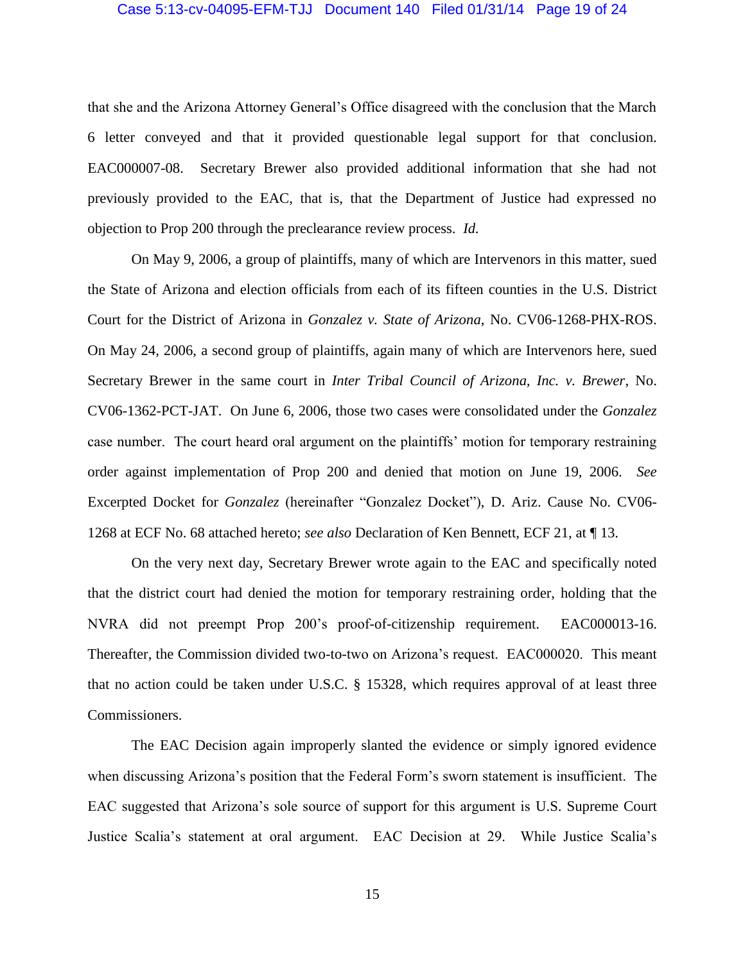### Case 5:13-cv-04095-EFM-TJJ Document 140 Filed 01/31/14 Page 19 of 24

that she and the Arizona Attorney General's Office disagreed with the conclusion that the March 6 letter conveyed and that it provided questionable legal support for that conclusion. EAC000007-08. Secretary Brewer also provided additional information that she had not previously provided to the EAC, that is, that the Department of Justice had expressed no objection to Prop 200 through the preclearance review process. *Id.*

On May 9, 2006, a group of plaintiffs, many of which are Intervenors in this matter, sued the State of Arizona and election officials from each of its fifteen counties in the U.S. District Court for the District of Arizona in *Gonzalez v. State of Arizona*, No. CV06-1268-PHX-ROS. On May 24, 2006, a second group of plaintiffs, again many of which are Intervenors here, sued Secretary Brewer in the same court in *Inter Tribal Council of Arizona, Inc. v. Brewer*, No. CV06-1362-PCT-JAT. On June 6, 2006, those two cases were consolidated under the *Gonzalez* case number. The court heard oral argument on the plaintiffs' motion for temporary restraining order against implementation of Prop 200 and denied that motion on June 19, 2006. *See* Excerpted Docket for *Gonzalez* (hereinafter "Gonzalez Docket"), D. Ariz. Cause No. CV06- 1268 at ECF No. 68 attached hereto; *see also* Declaration of Ken Bennett, ECF 21, at ¶ 13.

On the very next day, Secretary Brewer wrote again to the EAC and specifically noted that the district court had denied the motion for temporary restraining order, holding that the NVRA did not preempt Prop 200's proof-of-citizenship requirement. EAC000013-16. Thereafter, the Commission divided two-to-two on Arizona's request. EAC000020. This meant that no action could be taken under U.S.C. § 15328, which requires approval of at least three Commissioners.

The EAC Decision again improperly slanted the evidence or simply ignored evidence when discussing Arizona's position that the Federal Form's sworn statement is insufficient. The EAC suggested that Arizona's sole source of support for this argument is U.S. Supreme Court Justice Scalia's statement at oral argument. EAC Decision at 29. While Justice Scalia's

15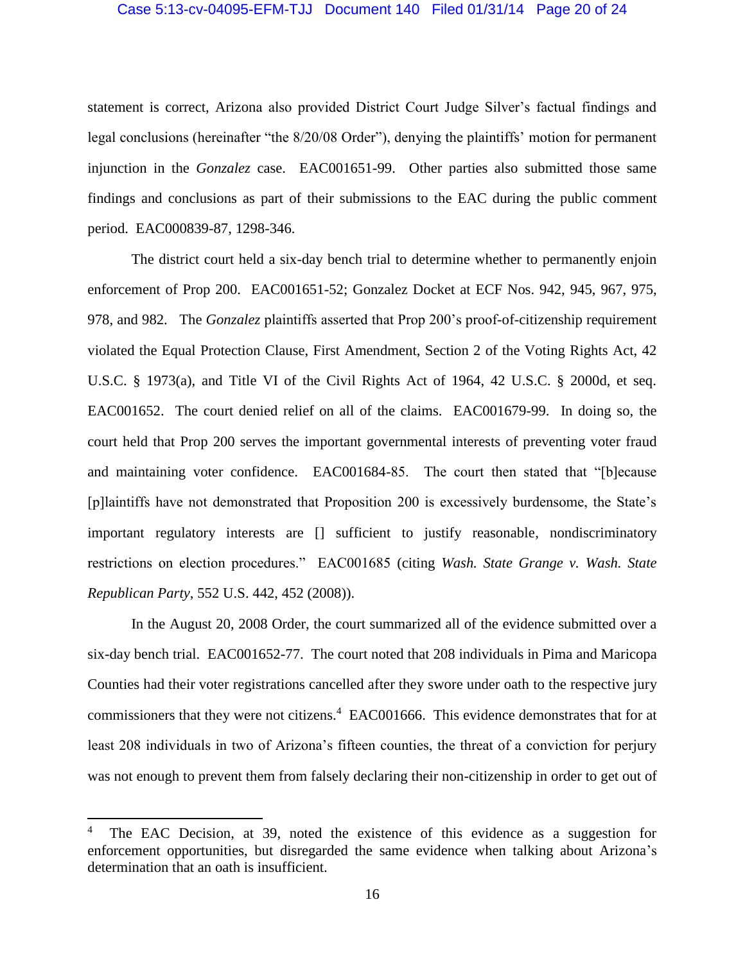## Case 5:13-cv-04095-EFM-TJJ Document 140 Filed 01/31/14 Page 20 of 24

statement is correct, Arizona also provided District Court Judge Silver's factual findings and legal conclusions (hereinafter "the 8/20/08 Order"), denying the plaintiffs' motion for permanent injunction in the *Gonzalez* case. EAC001651-99. Other parties also submitted those same findings and conclusions as part of their submissions to the EAC during the public comment period. EAC000839-87, 1298-346.

The district court held a six-day bench trial to determine whether to permanently enjoin enforcement of Prop 200. EAC001651-52; Gonzalez Docket at ECF Nos. 942, 945, 967, 975, 978, and 982. The *Gonzalez* plaintiffs asserted that Prop 200's proof-of-citizenship requirement violated the Equal Protection Clause, First Amendment, Section 2 of the Voting Rights Act, 42 U.S.C. § 1973(a), and Title VI of the Civil Rights Act of 1964, 42 U.S.C. § 2000d, et seq. EAC001652. The court denied relief on all of the claims. EAC001679-99. In doing so, the court held that Prop 200 serves the important governmental interests of preventing voter fraud and maintaining voter confidence. EAC001684-85. The court then stated that "[b]ecause [p]laintiffs have not demonstrated that Proposition 200 is excessively burdensome, the State's important regulatory interests are [] sufficient to justify reasonable, nondiscriminatory restrictions on election procedures." EAC001685 (citing *Wash. State Grange v. Wash. State Republican Party*, 552 U.S. 442, 452 (2008)).

In the August 20, 2008 Order, the court summarized all of the evidence submitted over a six-day bench trial. EAC001652-77. The court noted that 208 individuals in Pima and Maricopa Counties had their voter registrations cancelled after they swore under oath to the respective jury commissioners that they were not citizens.<sup>4</sup> EAC001666. This evidence demonstrates that for at least 208 individuals in two of Arizona's fifteen counties, the threat of a conviction for perjury was not enough to prevent them from falsely declaring their non-citizenship in order to get out of

 $\overline{\phantom{a}}$ 

The EAC Decision, at 39, noted the existence of this evidence as a suggestion for enforcement opportunities, but disregarded the same evidence when talking about Arizona's determination that an oath is insufficient.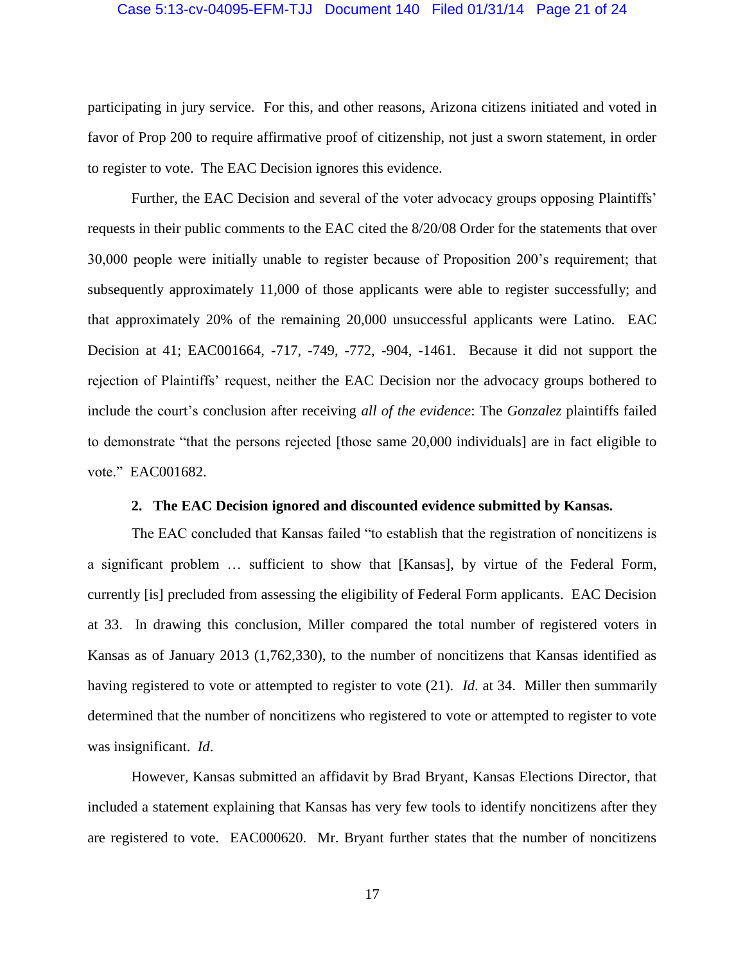## Case 5:13-cv-04095-EFM-TJJ Document 140 Filed 01/31/14 Page 21 of 24

participating in jury service. For this, and other reasons, Arizona citizens initiated and voted in favor of Prop 200 to require affirmative proof of citizenship, not just a sworn statement, in order to register to vote. The EAC Decision ignores this evidence.

Further, the EAC Decision and several of the voter advocacy groups opposing Plaintiffs' requests in their public comments to the EAC cited the 8/20/08 Order for the statements that over 30,000 people were initially unable to register because of Proposition 200's requirement; that subsequently approximately 11,000 of those applicants were able to register successfully; and that approximately 20% of the remaining 20,000 unsuccessful applicants were Latino. EAC Decision at 41; EAC001664, -717, -749, -772, -904, -1461. Because it did not support the rejection of Plaintiffs' request, neither the EAC Decision nor the advocacy groups bothered to include the court's conclusion after receiving *all of the evidence*: The *Gonzalez* plaintiffs failed to demonstrate "that the persons rejected [those same 20,000 individuals] are in fact eligible to vote." EAC001682.

## **2. The EAC Decision ignored and discounted evidence submitted by Kansas.**

The EAC concluded that Kansas failed "to establish that the registration of noncitizens is a significant problem … sufficient to show that [Kansas], by virtue of the Federal Form, currently [is] precluded from assessing the eligibility of Federal Form applicants. EAC Decision at 33. In drawing this conclusion, Miller compared the total number of registered voters in Kansas as of January 2013 (1,762,330), to the number of noncitizens that Kansas identified as having registered to vote or attempted to register to vote (21). *Id*. at 34. Miller then summarily determined that the number of noncitizens who registered to vote or attempted to register to vote was insignificant. *Id*.

However, Kansas submitted an affidavit by Brad Bryant, Kansas Elections Director, that included a statement explaining that Kansas has very few tools to identify noncitizens after they are registered to vote. EAC000620. Mr. Bryant further states that the number of noncitizens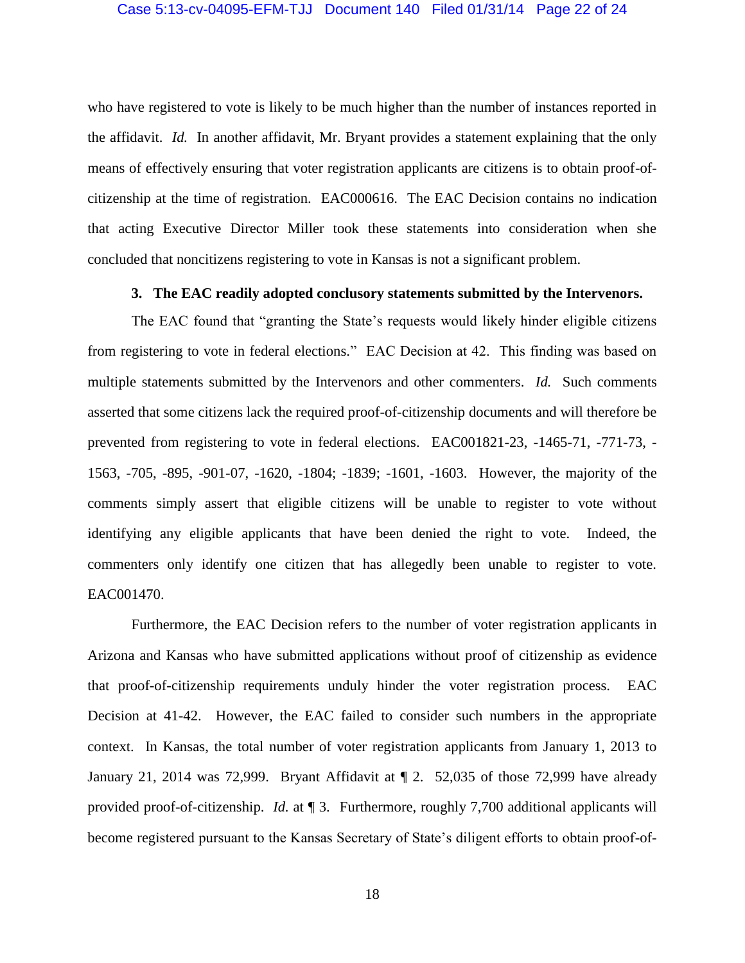who have registered to vote is likely to be much higher than the number of instances reported in the affidavit. *Id.* In another affidavit, Mr. Bryant provides a statement explaining that the only means of effectively ensuring that voter registration applicants are citizens is to obtain proof-ofcitizenship at the time of registration. EAC000616. The EAC Decision contains no indication that acting Executive Director Miller took these statements into consideration when she concluded that noncitizens registering to vote in Kansas is not a significant problem.

## **3. The EAC readily adopted conclusory statements submitted by the Intervenors.**

The EAC found that "granting the State's requests would likely hinder eligible citizens from registering to vote in federal elections." EAC Decision at 42. This finding was based on multiple statements submitted by the Intervenors and other commenters. *Id.* Such comments asserted that some citizens lack the required proof-of-citizenship documents and will therefore be prevented from registering to vote in federal elections. EAC001821-23, -1465-71, -771-73, - 1563, -705, -895, -901-07, -1620, -1804; -1839; -1601, -1603. However, the majority of the comments simply assert that eligible citizens will be unable to register to vote without identifying any eligible applicants that have been denied the right to vote. Indeed, the commenters only identify one citizen that has allegedly been unable to register to vote. EAC001470.

Furthermore, the EAC Decision refers to the number of voter registration applicants in Arizona and Kansas who have submitted applications without proof of citizenship as evidence that proof-of-citizenship requirements unduly hinder the voter registration process. EAC Decision at 41-42. However, the EAC failed to consider such numbers in the appropriate context. In Kansas, the total number of voter registration applicants from January 1, 2013 to January 21, 2014 was 72,999. Bryant Affidavit at ¶ 2. 52,035 of those 72,999 have already provided proof-of-citizenship. *Id.* at ¶ 3.Furthermore, roughly 7,700 additional applicants will become registered pursuant to the Kansas Secretary of State's diligent efforts to obtain proof-of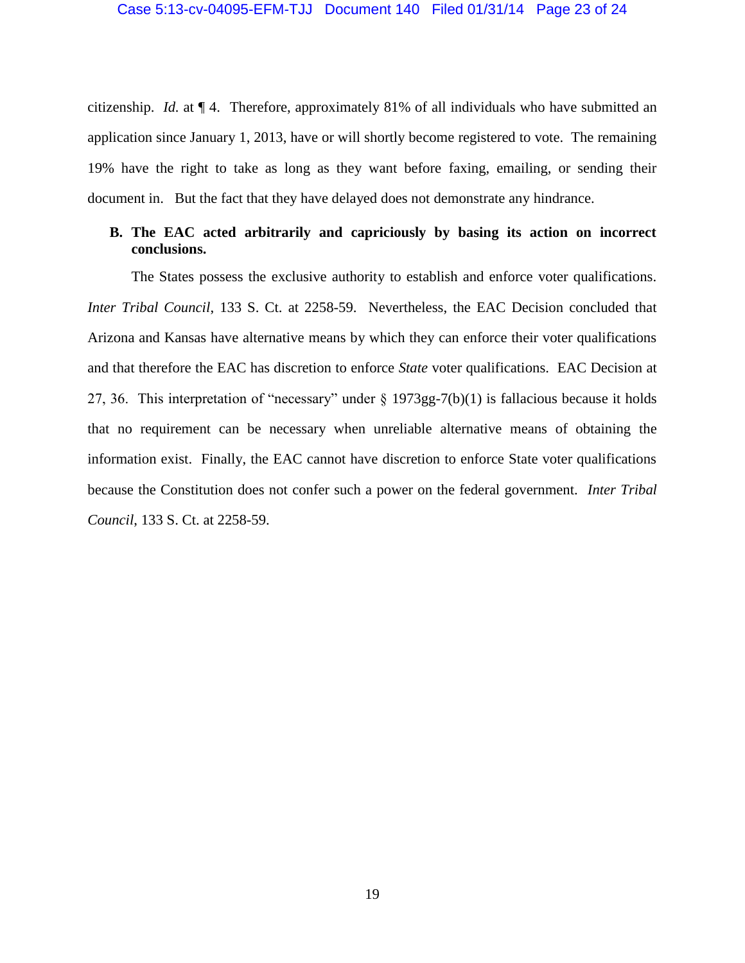citizenship. *Id.* at ¶ 4.Therefore, approximately 81% of all individuals who have submitted an application since January 1, 2013, have or will shortly become registered to vote. The remaining 19% have the right to take as long as they want before faxing, emailing, or sending their document in. But the fact that they have delayed does not demonstrate any hindrance.

## **B. The EAC acted arbitrarily and capriciously by basing its action on incorrect conclusions.**

The States possess the exclusive authority to establish and enforce voter qualifications. *Inter Tribal Council*, 133 S. Ct. at 2258-59. Nevertheless, the EAC Decision concluded that Arizona and Kansas have alternative means by which they can enforce their voter qualifications and that therefore the EAC has discretion to enforce *State* voter qualifications. EAC Decision at 27, 36. This interpretation of "necessary" under § 1973gg-7(b)(1) is fallacious because it holds that no requirement can be necessary when unreliable alternative means of obtaining the information exist. Finally, the EAC cannot have discretion to enforce State voter qualifications because the Constitution does not confer such a power on the federal government. *Inter Tribal Council*, 133 S. Ct. at 2258-59.